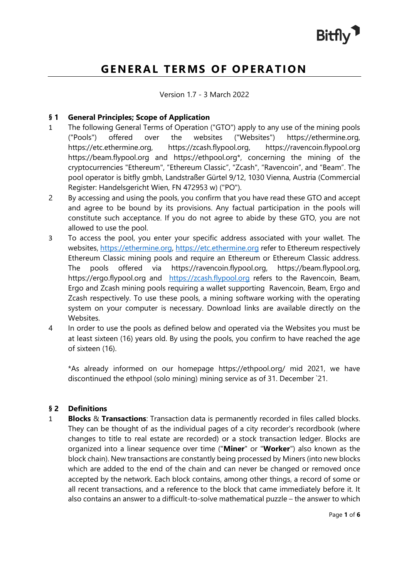

# **GENERAL TERMS OF OPERATION**

Version 1.7 - 3 March 2022

#### **§ 1 General Principles; Scope of Application**

- 1 The following General Terms of Operation ("GTO") apply to any use of the mining pools ("Pools") offered over the websites ("Websites") [https://ethermine.org,](https://ethermine.org/) [https://etc.ethermine.org,](https://etc.ethermine.org/) [https://zcash.flypool.org,](https://zcash.flypool.org/) [https://ravencoin.flypool.org](https://ravencoin.flypool.org/) [https://beam.flypool.org](https://beam.flypool.org/) and [https://ethpool.org\\*](https://ethpool.org/), concerning the mining of the cryptocurrencies "Ethereum", "Ethereum Classic", "Zcash", "Ravencoin", and "Beam". The pool operator is bitfly gmbh, Landstraßer Gürtel 9/12, 1030 Vienna, Austria (Commercial Register: Handelsgericht Wien, FN 472953 w) ("PO").
- 2 By accessing and using the pools, you confirm that you have read these GTO and accept and agree to be bound by its provisions. Any factual participation in the pools will constitute such acceptance. If you do not agree to abide by these GTO, you are not allowed to use the pool.
- 3 To access the pool, you enter your specific address associated with your wallet. The websites, [https://ethermine.org,](https://ethermine.org/) [https://etc.ethermine.org](https://etc.ethermine.orgr/) refer to Ethereum respectively Ethereum Classic mining pools and require an Ethereum or Ethereum Classic address. The pools offered via [https://ravencoin.flypool.org,](http://ravencoin.flypool.org/) [https://beam.flypool.org,](https://beam.flypool.org/) [https://ergo.flypool.org](https://ergo.flypool.org/) and [https://zcash.flypool.org](https://zcash.flypool.org/) refers to the Ravencoin, Beam, Ergo and Zcash mining pools requiring a wallet supporting Ravencoin, Beam, Ergo and Zcash respectively. To use these pools, a mining software working with the operating system on your computer is necessary. Download links are available directly on the Websites.
- 4 In order to use the pools as defined below and operated via the Websites you must be at least sixteen (16) years old. By using the pools, you confirm to have reached the age of sixteen (16).

\*As already informed on our homepage https://ethpool.org/ mid 2021, we have discontinued the ethpool (solo mining) mining service as of 31. December `21.

# **§ 2 Definitions**

1 **Blocks** & **Transactions**: Transaction data is permanently recorded in files called blocks. They can be thought of as the individual pages of a city recorder's recordbook (where changes to title to real estate are recorded) or a stock transaction ledger. Blocks are organized into a linear sequence over time ("**Miner**" or "**Worker**") also known as the [block chain\)](https://en.bitcoin.it/wiki/Block_chain). New transactions are constantly being processed by [Miners](https://en.bitcoin.it/wiki/Mining) (into new blocks which are added to the end of the chain and can never be changed or removed once accepted by the network. Each block contains, among other things, a record of some or all recent [transactions,](https://en.bitcoin.it/wiki/Transactions) and a reference to the block that came immediately before it. It also contains an answer to a difficult-to-solve mathematical puzzle – the answer to which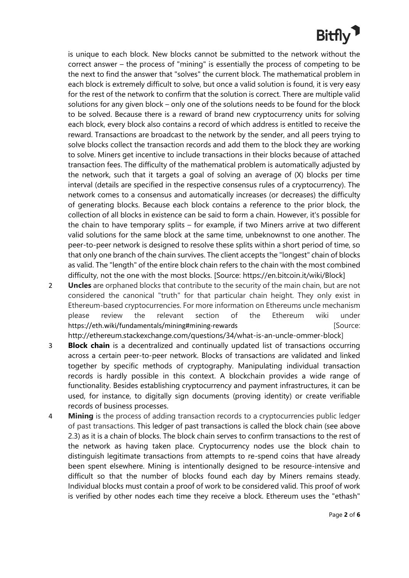# **Bitfly**

is unique to each block. New blocks cannot be submitted to the network without the correct answer – the process of ["mining"](https://en.bitcoin.it/wiki/Mining) is essentially the process of competing to be the next to find the answer that "solves" the current block. The mathematical problem in each block is extremely [difficult](https://en.bitcoin.it/wiki/Difficulty) to solve, but once a valid solution is found, it is very easy for the rest of the network to confirm that the solution is correct. There are multiple valid solutions for any given block – only one of the solutions needs to be found for the block to be solved. Because there is a reward of brand new cryptocurrency units for solving each block, every block also contains a record of which [address](https://en.bitcoin.it/wiki/Bitcoin_address) is entitled to receive the reward. Transactions are [broadcast](https://en.bitcoin.it/wiki/Transaction_broadcasting) to the [network](https://en.bitcoin.it/wiki/Network) by the sender, and all peers trying to solve blocks collect the transaction records and add them to the block they are working to solve. Miners get incentive to include transactions in their blocks because of attached transaction fees. The [difficulty](https://en.bitcoin.it/wiki/Difficulty) of the mathematical problem is automatically adjusted by the network, such that it targets a goal of solving an average of (X) blocks per time interval (details are specified in the respective consensus rules of a cryptocurrency). The network comes to a consensus and automatically increases (or decreases) the difficulty of generating blocks. Because each block contains a reference to the prior block, the collection of all blocks in existence can be said to form a chain. However, it's possible for the chain to have temporary splits – for example, if two Miners arrive at two different valid solutions for the same block at the same time, unbeknownst to one another. The peer-to-peer network is designed to resolve these splits within a short period of time, so that only one branch of the chain survives. The client accepts the "longest" chain of blocks as valid. The "length" of the entir[e block chain](https://en.bitcoin.it/wiki/Block_chain) refers to the chain with the most combined difficulty, not the one with the most blocks. [Source: [https://en.bitcoin.it/wiki/Block\]](https://en.bitcoin.it/wiki/Block)

2 **Uncles** are orphaned blocks that contribute to the security of the main chain, but are not considered the canonical "truth" for that particular chain height. They only exist in Ethereum-based cryptocurrencies. For more information on Ethereums uncle mechanism please review the relevant section of the Ethereum wiki under <https://eth.wiki/fundamentals/mining#mining-rewards> **[Source:** [Source: [http://ethereum.stackexchange.com/questions/34/what-is-an-uncle-ommer-block\]](http://ethereum.stackexchange.com/questions/34/what-is-an-uncle-ommer-block)

3 **Block chain** is a decentralized and continually updated list of transactions occurring across a certain peer-to-peer network. Blocks of transactions are validated and linked together by specific methods of cryptography. Manipulating individual transaction records is hardly possible in this context. A blockchain provides a wide range of functionality. Besides establishing cryptocurrency and payment infrastructures, it can be used, for instance, to digitally sign documents (proving identity) or create verifiable records of business processes.

4 **Mining** is the process of adding transaction records to a cryptocurrencies public ledger of past transactions. This ledger of past transactions is called the block chain (see above 2.3) as it is a chain of blocks. The block chain serves to confirm transactions to the rest of the network as having taken place. Cryptocurrency nodes use the block chain to distinguish legitimate transactions from attempts to re-spend coins that have already been spent elsewhere. Mining is intentionally designed to be resource-intensive and difficult so that the number of blocks found each day by Miners remains steady. Individual blocks must contain a proof of work to be considered valid. This proof of work is verified by other nodes each time they receive a block. Ethereum uses the "ethash"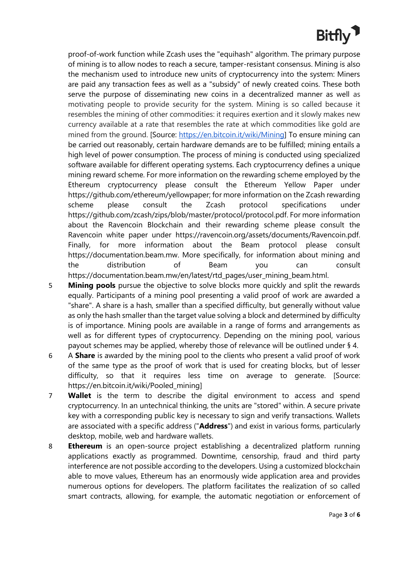# **Bitfly**

proof-of-work function while Zcash uses the "equihash" algorithm. The primary purpose of mining is to allow nodes to reach a secure, tamper-resistant consensus. Mining is also the mechanism used to introduce new units of cryptocurrency into the system: Miners are paid any transaction fees as well as a "subsidy" of newly created coins. These both serve the purpose of disseminating new coins in a decentralized manner as well as motivating people to provide security for the system. Mining is so called because it resembles the mining of other commodities: it requires exertion and it slowly makes new currency available at a rate that resembles the rate at which commodities like gold are mined from the ground. [Source: [https://en.bitcoin.it/wiki/Mining\]](https://en.bitcoin.it/wiki/Mining) To ensure mining can be carried out reasonably, certain hardware demands are to be fulfilled; mining entails a high level of power consumption. The process of mining is conducted using specialized software available for different operating systems. Each cryptocurrency defines a unique mining reward scheme. For more information on the rewarding scheme employed by the Ethereum cryptocurrency please consult the Ethereum Yellow Paper under [https://github.com/ethereum/yellowpaper;](https://github.com/ethereum/yellowpaper) for more information on the Zcash rewarding scheme please consult the Zcash protocol specifications under [https://github.com/zcash/zips/blob/master/protocol/protocol.pdf.](https://github.com/zcash/zips/blob/master/protocol/protocol.pdf) For more information about the Ravencoin Blockchain and their rewarding scheme please consult the Ravencoin white paper under [https://ravencoin.org/assets/documents/Ravencoin.pdf.](https://ravencoin.org/assets/documents/Ravencoin.pdf) Finally, for more information about the Beam protocol please consult [https://documentation.beam.mw.](https://documentation.beam.mw/) More specifically, for information about mining and the distribution of Beam you can consult [https://documentation.beam.mw/en/latest/rtd\\_pages/user\\_mining\\_beam.html.](https://documentation.beam.mw/en/latest/rtd_pages/user_mining_beam.html)

- 5 **Mining pools** pursue the objective to solve blocks more quickly and split the rewards equally. Participants of a mining pool presenting a valid proof of work are awarded a "share". A share is a hash, smaller than a specified difficulty, but generally without value as only the hash smaller than the target value solving a block and determined by difficulty is of importance. Mining pools are available in a range of forms and arrangements as well as for different types of cryptocurrency. Depending on the mining pool, various payout schemes may be applied, whereby those of relevance will be outlined under § 4.
- 6 A **Share** is awarded by the mining pool to the clients who present a valid proof of work of the same type as the proof of work that is used for creating blocks, but of lesser difficulty, so that it requires less time on average to generate. [Source: [https://en.bitcoin.it/wiki/Pooled\\_mining\]](https://en.bitcoin.it/wiki/Pooled_mining)
- 7 **Wallet** is the term to describe the digital environment to access and spend cryptocurrency. In an untechnical thinking, the units are "stored" within. A secure private key with a corresponding public key is necessary to sign and verify transactions. Wallets are associated with a specific address ("**Address**") and exist in various forms, particularly desktop, mobile, web and hardware wallets.
- 8 **Ethereum** is an open-source project establishing a decentralized platform running applications exactly as programmed. Downtime, censorship, fraud and third party interference are not possible according to the developers. Using a customized blockchain able to move values, Ethereum has an enormously wide application area and provides numerous options for developers. The platform facilitates the realization of so called smart contracts, allowing, for example, the automatic negotiation or enforcement of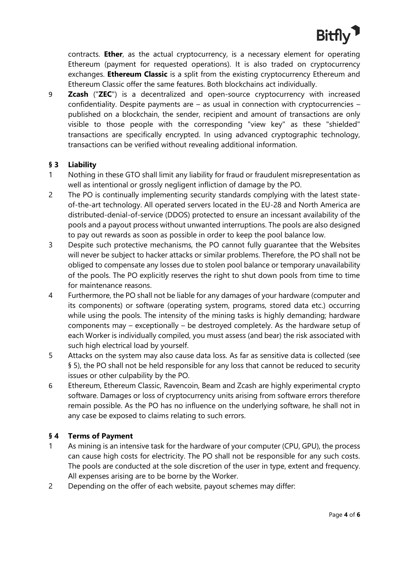

contracts. **Ether**, as the actual cryptocurrency, is a necessary element for operating Ethereum (payment for requested operations). It is also traded on cryptocurrency exchanges. **Ethereum Classic** is a split from the existing cryptocurrency Ethereum and Ethereum Classic offer the same features. Both blockchains act individually.

9 **Zcash** ("**ZEC**") is a decentralized and open-source cryptocurrency with increased confidentiality. Despite payments are  $-$  as usual in connection with cryptocurrencies  $$ published on a blockchain, the sender, recipient and amount of transactions are only visible to those people with the corresponding "view key" as these "shielded" transactions are specifically encrypted. In using advanced cryptographic technology, transactions can be verified without revealing additional information.

#### **§ 3 Liability**

- 1 Nothing in these GTO shall limit any liability for fraud or fraudulent misrepresentation as well as intentional or grossly negligent infliction of damage by the PO.
- 2 The PO is continually implementing security standards complying with the latest stateof-the-art technology. All operated servers located in the EU-28 and North America are distributed-denial-of-service (DDOS) protected to ensure an incessant availability of the pools and a payout process without unwanted interruptions. The pools are also designed to pay out rewards as soon as possible in order to keep the pool balance low.
- 3 Despite such protective mechanisms, the PO cannot fully guarantee that the Websites will never be subject to hacker attacks or similar problems. Therefore, the PO shall not be obliged to compensate any losses due to stolen pool balance or temporary unavailability of the pools. The PO explicitly reserves the right to shut down pools from time to time for maintenance reasons.
- 4 Furthermore, the PO shall not be liable for any damages of your hardware (computer and its components) or software (operating system, programs, stored data etc.) occurring while using the pools. The intensity of the mining tasks is highly demanding; hardware components may – exceptionally – be destroyed completely. As the hardware setup of each Worker is individually compiled, you must assess (and bear) the risk associated with such high electrical load by yourself.
- 5 Attacks on the system may also cause data loss. As far as sensitive data is collected (see § 5), the PO shall not be held responsible for any loss that cannot be reduced to security issues or other culpability by the PO.
- 6 Ethereum, Ethereum Classic, Ravencoin, Beam and Zcash are highly experimental crypto software. Damages or loss of cryptocurrency units arising from software errors therefore remain possible. As the PO has no influence on the underlying software, he shall not in any case be exposed to claims relating to such errors.

# **§ 4 Terms of Payment**

- 1 As mining is an intensive task for the hardware of your computer (CPU, GPU), the process can cause high costs for electricity. The PO shall not be responsible for any such costs. The pools are conducted at the sole discretion of the user in type, extent and frequency. All expenses arising are to be borne by the Worker.
- 2 Depending on the offer of each website, payout schemes may differ: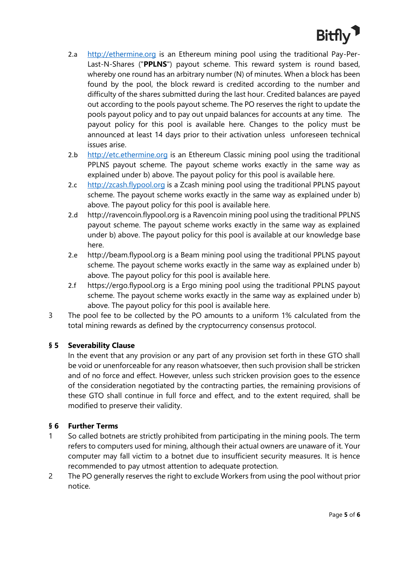

- 2.a [http://ethermine.org](http://ethermine.org/) is an Ethereum mining pool using the traditional Pay-Per-Last-N-Shares ("**PPLNS**") payout scheme. This reward system is round based, whereby one round has an arbitrary number (N) of minutes. When a block has been found by the pool, the block reward is credited according to the number and difficulty of the shares submitted during the last hour. Credited balances are payed out according to the pools payout scheme. The PO reserves the right to update the pools payout policy and to pay out unpaid balances for accounts at any time. The payout policy for this pool is available [here.](https://ethpool.freshdesk.com/support/solutions/articles/8000060967-ethermine-org-payout-policy) Changes to the policy must be announced at least 14 days prior to their activation unless unforeseen technical issues arise.
- 2.b [http://etc.ethermine.org](http://etc.ethermine.org/) is an Ethereum Classic mining pool using the traditional PPLNS payout scheme. The payout scheme works exactly in the same way as explained under b) above. The payout policy for this pool is available [here.](https://support.bitfly.at/support/solutions/articles/8000093295-etc-ethermine-org-payout-policy)
- 2.c http://zcash.flypool.org is a Zcash mining pool using the traditional PPLNS payout scheme. The payout scheme works exactly in the same way as explained under b) above. The payout policy for this pool is available [here.](https://support.bitfly.at/support/solutions/articles/8000093298-zcash-flypool-org-payout-policy)
- 2.d [http://ravencoin.flypool.org](http://ravencoin.flypool.org/) is a Ravencoin mining pool using the traditional PPLNS payout scheme. The payout scheme works exactly in the same way as explained under b) above. The payout policy for this pool is available at our knowledge base [here.](https://support.bitfly.at/support/solutions/articles/8000093302-ravencoin-flypool-org-payout-policy)
- 2.e [http://beam.flypool.org](http://beam.flypool.org/) is a Beam mining pool using the traditional PPLNS payout scheme. The payout scheme works exactly in the same way as explained under b) above. The payout policy for this pool is available [here.](https://support.bitfly.at/support/solutions/articles/8000093300-beam-flypool-org-payout-policy)
- 2.f [https://ergo.flypool.org](https://ergo.flypool.org/) is a Ergo mining pool using the traditional PPLNS payout scheme. The payout scheme works exactly in the same way as explained under b) above. The payout policy for this pool is available [here.](https://support.bitfly.at/support/solutions/articles/8000096300-ergo-flypool-org-payout-policy)
- 3 The pool fee to be collected by the PO amounts to a uniform 1% calculated from the total mining rewards as defined by the cryptocurrency consensus protocol.

# **§ 5 Severability Clause**

In the event that any provision or any part of any provision set forth in these GTO shall be void or unenforceable for any reason whatsoever, then such provision shall be stricken and of no force and effect. However, unless such stricken provision goes to the essence of the consideration negotiated by the contracting parties, the remaining provisions of these GTO shall continue in full force and effect, and to the extent required, shall be modified to preserve their validity.

# **§ 6 Further Terms**

- 1 So called botnets are strictly prohibited from participating in the mining pools. The term refers to computers used for mining, although their actual owners are unaware of it. Your computer may fall victim to a botnet due to insufficient security measures. It is hence recommended to pay utmost attention to adequate protection.
- 2 The PO generally reserves the right to exclude Workers from using the pool without prior notice.